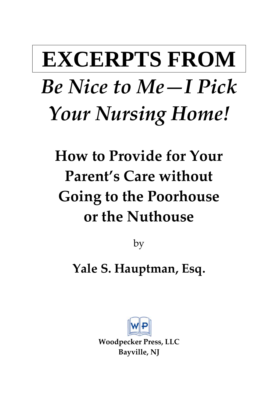# **EXCERPTS FROM**  *Be Nice to Me—I Pick Your Nursing Home!*

## **How to Provide for Your Parent's Care without Going to the Poorhouse or the Nuthouse**

by

**Yale S. Hauptman, Esq.**



**Woodpecker Press, LLC Bayville, NJ**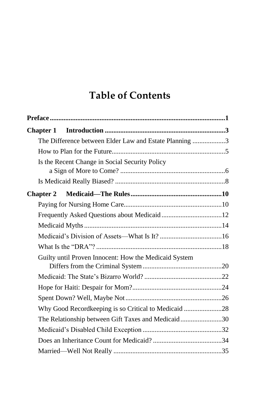### **Table of Contents**

|  | The Difference between Elder Law and Estate Planning 3 |  |
|--|--------------------------------------------------------|--|
|  |                                                        |  |
|  | Is the Recent Change in Social Security Policy         |  |
|  |                                                        |  |
|  |                                                        |  |
|  |                                                        |  |
|  |                                                        |  |
|  |                                                        |  |
|  |                                                        |  |
|  |                                                        |  |
|  | Guilty until Proven Innocent: How the Medicaid System  |  |
|  |                                                        |  |
|  |                                                        |  |
|  |                                                        |  |
|  | Why Good Recordkeeping is so Critical to Medicaid 28   |  |
|  | The Relationship between Gift Taxes and Medicaid30     |  |
|  |                                                        |  |
|  |                                                        |  |
|  |                                                        |  |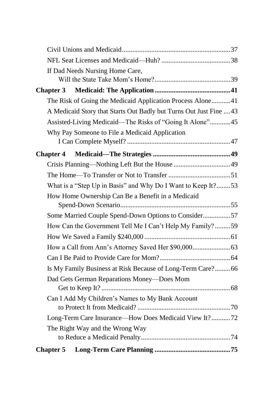| If Dad Needs Nursing Home Care,                                    |  |
|--------------------------------------------------------------------|--|
|                                                                    |  |
| <b>Chapter 3</b>                                                   |  |
| The Risk of Going the Medicaid Application Process Alone41         |  |
| A Medicaid Story that Starts Out Badly but Turns Out Just Fine  43 |  |
| Assisted-Living Medicaid—The Risks of "Going It Alone"45           |  |
| Why Pay Someone to File a Medicaid Application                     |  |
|                                                                    |  |
| <b>Chapter 4</b>                                                   |  |
|                                                                    |  |
|                                                                    |  |
| What is a "Step Up in Basis" and Why Do I Want to Keep It?53       |  |
| How Home Ownership Can Be a Benefit in a Medicaid                  |  |
|                                                                    |  |
| Some Married Couple Spend-Down Options to Consider57               |  |
| How Can the Government Tell Me I Can't Help My Family?59           |  |
|                                                                    |  |
|                                                                    |  |
|                                                                    |  |
| Is My Family Business at Risk Because of Long-Term Care? 66        |  |
| Dad Gets German Reparations Money-Does Mom                         |  |
|                                                                    |  |
| Can I Add My Children's Names to My Bank Account                   |  |
|                                                                    |  |
| Long-Term Care Insurance-How Does Medicaid View It?72              |  |
| The Right Way and the Wrong Way                                    |  |
|                                                                    |  |
| <b>Chapter 5</b>                                                   |  |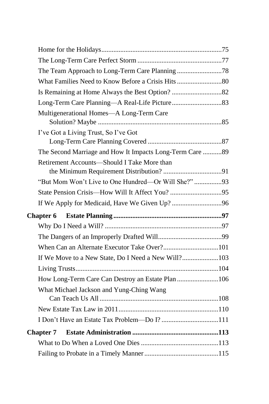| Multigenerational Homes-A Long-Term Care                 |  |
|----------------------------------------------------------|--|
| I've Got a Living Trust, So I've Got                     |  |
| The Second Marriage and How It Impacts Long-Term Care 89 |  |
| Retirement Accounts—Should I Take More than              |  |
| "But Mom Won't Live to One Hundred-Or Will She?"93       |  |
|                                                          |  |
|                                                          |  |
|                                                          |  |
|                                                          |  |
|                                                          |  |
|                                                          |  |
| If We Move to a New State, Do I Need a New Will?103      |  |
|                                                          |  |
| How Long-Term Care Can Destroy an Estate Plan 106        |  |
| What Michael Jackson and Yung-Ching Wang                 |  |
|                                                          |  |
| I Don't Have an Estate Tax Problem-Do I? 111             |  |
| <b>Chapter 7</b>                                         |  |
|                                                          |  |
|                                                          |  |
|                                                          |  |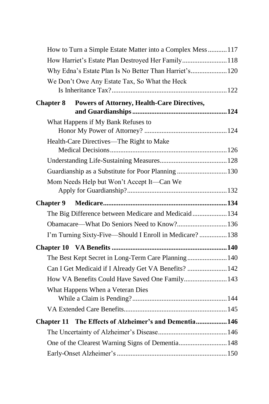|                  | How to Turn a Simple Estate Matter into a Complex Mess117 |  |  |
|------------------|-----------------------------------------------------------|--|--|
|                  | How Harriet's Estate Plan Destroyed Her Family118         |  |  |
|                  | Why Edna's Estate Plan Is No Better Than Harriet's 120    |  |  |
|                  | We Don't Owe Any Estate Tax, So What the Heck             |  |  |
|                  |                                                           |  |  |
| <b>Chapter 8</b> | <b>Powers of Attorney, Health-Care Directives,</b>        |  |  |
|                  |                                                           |  |  |
|                  | What Happens if My Bank Refuses to                        |  |  |
|                  |                                                           |  |  |
|                  | Health-Care Directives—The Right to Make                  |  |  |
|                  |                                                           |  |  |
|                  |                                                           |  |  |
|                  | Guardianship as a Substitute for Poor Planning 130        |  |  |
|                  | Mom Needs Help but Won't Accept It-Can We                 |  |  |
|                  |                                                           |  |  |
| <b>Chapter 9</b> |                                                           |  |  |
|                  | The Big Difference between Medicare and Medicaid134       |  |  |
|                  | Obamacare—What Do Seniors Need to Know? 136               |  |  |
|                  | I'm Turning Sixty-Five—Should I Enroll in Medicare?138    |  |  |
|                  |                                                           |  |  |
|                  | The Best Kept Secret in Long-Term Care Planning 140       |  |  |
|                  | Can I Get Medicaid if I Already Get VA Benefits?  142     |  |  |
|                  | How VA Benefits Could Have Saved One Family 143           |  |  |
|                  | What Happens When a Veteran Dies                          |  |  |
|                  |                                                           |  |  |
|                  |                                                           |  |  |
|                  | Chapter 11 The Effects of Alzheimer's and Dementia 146    |  |  |
|                  |                                                           |  |  |
|                  | One of the Clearest Warning Signs of Dementia 148         |  |  |
|                  |                                                           |  |  |
|                  |                                                           |  |  |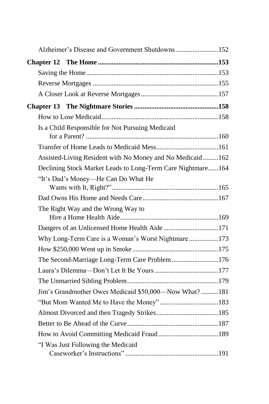| Alzheimer's Disease and Government Shutdowns152              |  |
|--------------------------------------------------------------|--|
|                                                              |  |
|                                                              |  |
|                                                              |  |
|                                                              |  |
|                                                              |  |
|                                                              |  |
| Is a Child Responsible for Not Pursuing Medicaid             |  |
|                                                              |  |
| Assisted-Living Resident with No Money and No Medicaid162    |  |
| Declining Stock Market Leads to Long-Term Care Nightmare 164 |  |
| "It's Dad's Money-He Can Do What He                          |  |
|                                                              |  |
| The Right Way and the Wrong Way to                           |  |
| Dangers of an Unlicensed Home Health Aide 171                |  |
| Why Long-Term Care is a Woman's Worst Nightmare173           |  |
|                                                              |  |
| The Second-Marriage Long-Term Care Problem 176               |  |
|                                                              |  |
|                                                              |  |
| Jim's Grandmother Owes Medicaid \$50,000-Now What?181        |  |
|                                                              |  |
|                                                              |  |
|                                                              |  |
|                                                              |  |
| "I Was Just Following the Medicaid                           |  |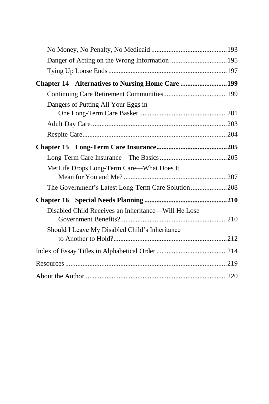| Chapter 14 Alternatives to Nursing Home Care 199    |  |
|-----------------------------------------------------|--|
|                                                     |  |
| Dangers of Putting All Your Eggs in                 |  |
|                                                     |  |
|                                                     |  |
|                                                     |  |
|                                                     |  |
| MetLife Drops Long-Term Care—What Does It           |  |
| The Government's Latest Long-Term Care Solution 208 |  |
|                                                     |  |
| Disabled Child Receives an Inheritance-Will He Lose |  |
| Should I Leave My Disabled Child's Inheritance      |  |
|                                                     |  |
|                                                     |  |
|                                                     |  |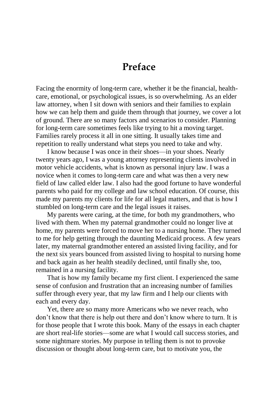#### **Preface**

Facing the enormity of long-term care, whether it be the financial, healthcare, emotional, or psychological issues, is so overwhelming. As an elder law attorney, when I sit down with seniors and their families to explain how we can help them and guide them through that journey, we cover a lot of ground. There are so many factors and scenarios to consider. Planning for long-term care sometimes feels like trying to hit a moving target. Families rarely process it all in one sitting. It usually takes time and repetition to really understand what steps you need to take and why.

I know because I was once in their shoes—in your shoes. Nearly twenty years ago, I was a young attorney representing clients involved in motor vehicle accidents, what is known as personal injury law. I was a novice when it comes to long-term care and what was then a very new field of law called elder law. I also had the good fortune to have wonderful parents who paid for my college and law school education. Of course, this made my parents my clients for life for all legal matters, and that is how I stumbled on long-term care and the legal issues it raises.

My parents were caring, at the time, for both my grandmothers, who lived with them. When my paternal grandmother could no longer live at home, my parents were forced to move her to a nursing home. They turned to me for help getting through the daunting Medicaid process. A few years later, my maternal grandmother entered an assisted living facility, and for the next six years bounced from assisted living to hospital to nursing home and back again as her health steadily declined, until finally she, too, remained in a nursing facility.

That is how my family became my first client. I experienced the same sense of confusion and frustration that an increasing number of families suffer through every year, that my law firm and I help our clients with each and every day.

Yet, there are so many more Americans who we never reach, who don't know that there is help out there and don't know where to turn. It is for those people that I wrote this book. Many of the essays in each chapter are short real-life stories—some are what I would call success stories, and some nightmare stories. My purpose in telling them is not to provoke discussion or thought about long-term care, but to motivate you, the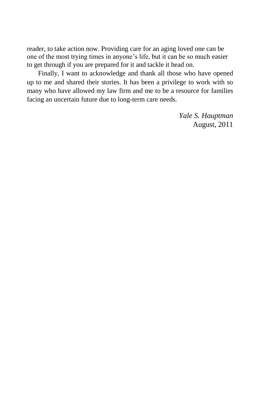reader, to take action now. Providing care for an aging loved one can be one of the most trying times in anyone's life, but it can be so much easier to get through if you are prepared for it and tackle it head on.

Finally, I want to acknowledge and thank all those who have opened up to me and shared their stories. It has been a privilege to work with so many who have allowed my law firm and me to be a resource for families facing an uncertain future due to long-term care needs.

> *Yale S. Hauptman* August, 2011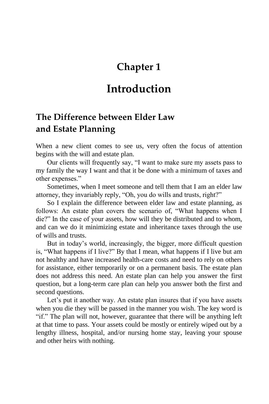#### **Chapter 1**

#### **Introduction**

#### **The Difference between Elder Law and Estate Planning**

When a new client comes to see us, very often the focus of attention begins with the will and estate plan.

Our clients will frequently say, "I want to make sure my assets pass to my family the way I want and that it be done with a minimum of taxes and other expenses."

Sometimes, when I meet someone and tell them that I am an elder law attorney, they invariably reply, "Oh, you do wills and trusts, right?"

So I explain the difference between elder law and estate planning, as follows: An estate plan covers the scenario of, "What happens when I die?" In the case of your assets, how will they be distributed and to whom, and can we do it minimizing estate and inheritance taxes through the use of wills and trusts.

But in today's world, increasingly, the bigger, more difficult question is, "What happens if I live?" By that I mean, what happens if I live but am not healthy and have increased health-care costs and need to rely on others for assistance, either temporarily or on a permanent basis. The estate plan does not address this need. An estate plan can help you answer the first question, but a long-term care plan can help you answer both the first and second questions.

Let's put it another way. An estate plan insures that if you have assets when you die they will be passed in the manner you wish. The key word is "if." The plan will not, however, guarantee that there will be anything left at that time to pass. Your assets could be mostly or entirely wiped out by a lengthy illness, hospital, and/or nursing home stay, leaving your spouse and other heirs with nothing.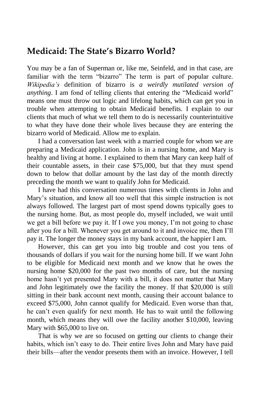#### **Medicaid: The State's Bizarro World?**

You may be a fan of Superman or, like me, Seinfeld, and in that case, are familiar with the term "bizarro" The term is part of popular culture. *Wikipedia's* definition of bizarro is *a weirdly mutilated version of anything*. I am fond of telling clients that entering the "Medicaid world" means one must throw out logic and lifelong habits, which can get you in trouble when attempting to obtain Medicaid benefits. I explain to our clients that much of what we tell them to do is necessarily counterintuitive to what they have done their whole lives because they are entering the bizarro world of Medicaid. Allow me to explain.

I had a conversation last week with a married couple for whom we are preparing a Medicaid application. John is in a nursing home, and Mary is healthy and living at home. I explained to them that Mary can keep half of their countable assets, in their case \$75,000, but that they must spend down to below that dollar amount by the last day of the month directly preceding the month we want to qualify John for Medicaid.

I have had this conversation numerous times with clients in John and Mary's situation, and know all too well that this simple instruction is not always followed. The largest part of most spend downs typically goes to the nursing home. But, as most people do, myself included, we wait until we get a bill before we pay it. If I owe you money, I'm not going to chase after you for a bill. Whenever you get around to it and invoice me, then I'll pay it. The longer the money stays in my bank account, the happier I am.

However, this can get you into big trouble and cost you tens of thousands of dollars if you wait for the nursing home bill. If we want John to be eligible for Medicaid next month and we know that he owes the nursing home \$20,000 for the past two months of care, but the nursing home hasn't yet presented Mary with a bill, it does not matter that Mary and John legitimately owe the facility the money. If that \$20,000 is still sitting in their bank account next month, causing their account balance to exceed \$75,000, John cannot qualify for Medicaid. Even worse than that, he can't even qualify for next month. He has to wait until the following month, which means they will owe the facility another \$10,000, leaving Mary with \$65,000 to live on.

That is why we are so focused on getting our clients to change their habits, which isn't easy to do. Their entire lives John and Mary have paid their bills—after the vendor presents them with an invoice. However, I tell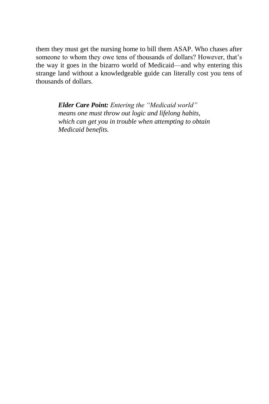them they must get the nursing home to bill them ASAP. Who chases after someone to whom they owe tens of thousands of dollars? However, that's the way it goes in the bizarro world of Medicaid—and why entering this strange land without a knowledgeable guide can literally cost you tens of thousands of dollars.

> *Elder Care Point: Entering the "Medicaid world" means one must throw out logic and lifelong habits, which can get you in trouble when attempting to obtain Medicaid benefits.*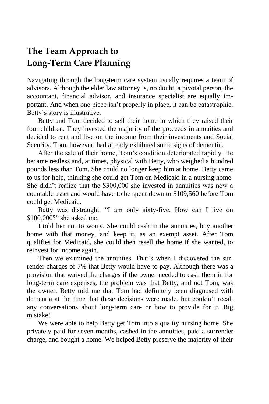#### **The Team Approach to Long-Term Care Planning**

Navigating through the long-term care system usually requires a team of advisors. Although the elder law attorney is, no doubt, a pivotal person, the accountant, financial advisor, and insurance specialist are equally important. And when one piece isn't properly in place, it can be catastrophic. Betty's story is illustrative.

Betty and Tom decided to sell their home in which they raised their four children. They invested the majority of the proceeds in annuities and decided to rent and live on the income from their investments and Social Security. Tom, however, had already exhibited some signs of dementia.

After the sale of their home, Tom's condition deteriorated rapidly. He became restless and, at times, physical with Betty, who weighed a hundred pounds less than Tom. She could no longer keep him at home. Betty came to us for help, thinking she could get Tom on Medicaid in a nursing home. She didn't realize that the \$300,000 she invested in annuities was now a countable asset and would have to be spent down to \$109,560 before Tom could get Medicaid.

Betty was distraught. "I am only sixty-five. How can I live on \$100,000?" she asked me.

I told her not to worry. She could cash in the annuities, buy another home with that money, and keep it, as an exempt asset. After Tom qualifies for Medicaid, she could then resell the home if she wanted, to reinvest for income again.

Then we examined the annuities. That's when I discovered the surrender charges of 7% that Betty would have to pay. Although there was a provision that waived the charges if the owner needed to cash them in for long-term care expenses, the problem was that Betty, and not Tom, was the owner. Betty told me that Tom had definitely been diagnosed with dementia at the time that these decisions were made, but couldn't recall any conversations about long-term care or how to provide for it. Big mistake!

We were able to help Betty get Tom into a quality nursing home. She privately paid for seven months, cashed in the annuities, paid a surrender charge, and bought a home. We helped Betty preserve the majority of their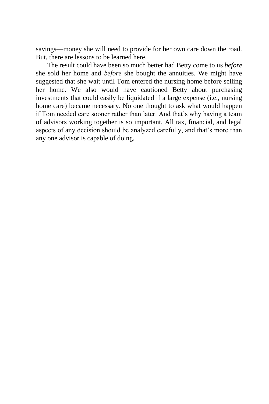savings—money she will need to provide for her own care down the road. But, there are lessons to be learned here.

The result could have been so much better had Betty come to us *before* she sold her home and *before* she bought the annuities. We might have suggested that she wait until Tom entered the nursing home before selling her home. We also would have cautioned Betty about purchasing investments that could easily be liquidated if a large expense (i.e., nursing home care) became necessary. No one thought to ask what would happen if Tom needed care sooner rather than later. And that's why having a team of advisors working together is so important. All tax, financial, and legal aspects of any decision should be analyzed carefully, and that's more than any one advisor is capable of doing.